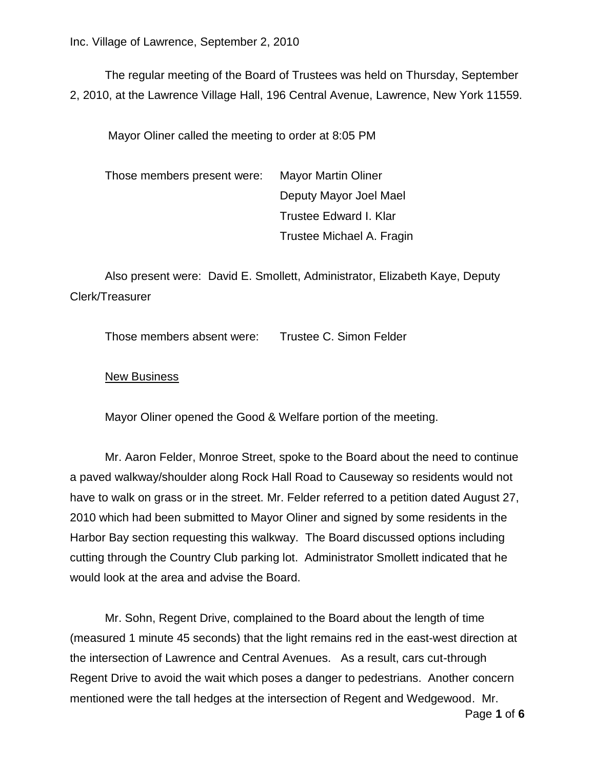The regular meeting of the Board of Trustees was held on Thursday, September 2, 2010, at the Lawrence Village Hall, 196 Central Avenue, Lawrence, New York 11559.

Mayor Oliner called the meeting to order at 8:05 PM

Those members present were: Mayor Martin Oliner Deputy Mayor Joel Mael Trustee Edward I. Klar Trustee Michael A. Fragin

Also present were: David E. Smollett, Administrator, Elizabeth Kaye, Deputy Clerk/Treasurer

Those members absent were: Trustee C. Simon Felder

#### New Business

Mayor Oliner opened the Good & Welfare portion of the meeting.

Mr. Aaron Felder, Monroe Street, spoke to the Board about the need to continue a paved walkway/shoulder along Rock Hall Road to Causeway so residents would not have to walk on grass or in the street. Mr. Felder referred to a petition dated August 27, 2010 which had been submitted to Mayor Oliner and signed by some residents in the Harbor Bay section requesting this walkway. The Board discussed options including cutting through the Country Club parking lot. Administrator Smollett indicated that he would look at the area and advise the Board.

Mr. Sohn, Regent Drive, complained to the Board about the length of time (measured 1 minute 45 seconds) that the light remains red in the east-west direction at the intersection of Lawrence and Central Avenues. As a result, cars cut-through Regent Drive to avoid the wait which poses a danger to pedestrians. Another concern mentioned were the tall hedges at the intersection of Regent and Wedgewood. Mr.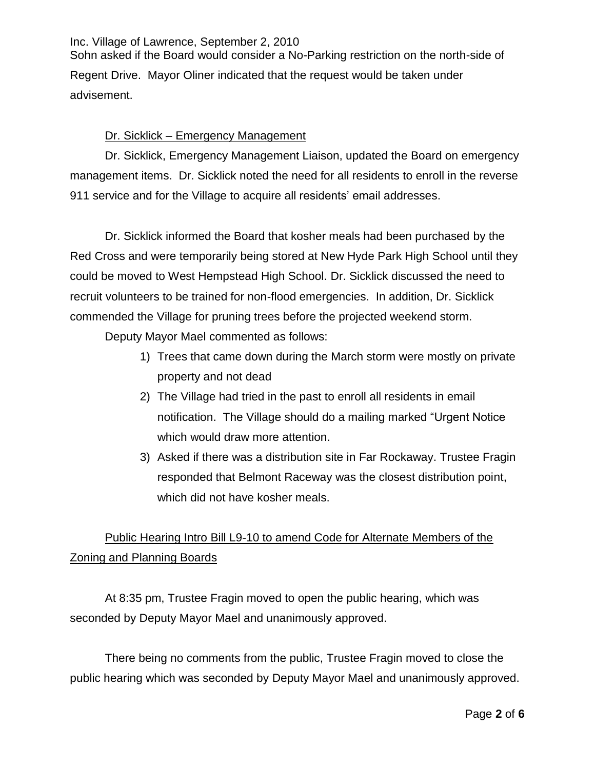Sohn asked if the Board would consider a No-Parking restriction on the north-side of Regent Drive. Mayor Oliner indicated that the request would be taken under advisement.

## Dr. Sicklick – Emergency Management

Dr. Sicklick, Emergency Management Liaison, updated the Board on emergency management items. Dr. Sicklick noted the need for all residents to enroll in the reverse 911 service and for the Village to acquire all residents' email addresses.

Dr. Sicklick informed the Board that kosher meals had been purchased by the Red Cross and were temporarily being stored at New Hyde Park High School until they could be moved to West Hempstead High School. Dr. Sicklick discussed the need to recruit volunteers to be trained for non-flood emergencies. In addition, Dr. Sicklick commended the Village for pruning trees before the projected weekend storm.

Deputy Mayor Mael commented as follows:

- 1) Trees that came down during the March storm were mostly on private property and not dead
- 2) The Village had tried in the past to enroll all residents in email notification. The Village should do a mailing marked "Urgent Notice which would draw more attention.
- 3) Asked if there was a distribution site in Far Rockaway. Trustee Fragin responded that Belmont Raceway was the closest distribution point, which did not have kosher meals.

# Public Hearing Intro Bill L9-10 to amend Code for Alternate Members of the Zoning and Planning Boards

At 8:35 pm, Trustee Fragin moved to open the public hearing, which was seconded by Deputy Mayor Mael and unanimously approved.

There being no comments from the public, Trustee Fragin moved to close the public hearing which was seconded by Deputy Mayor Mael and unanimously approved.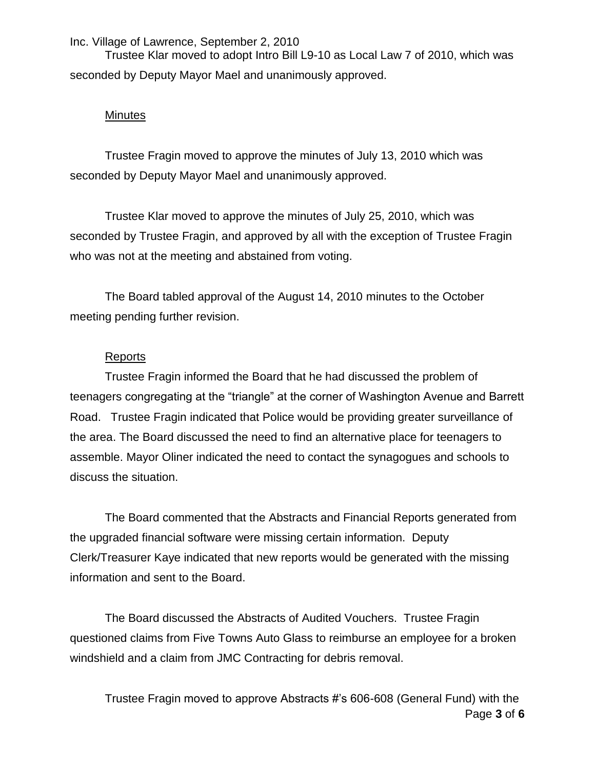Trustee Klar moved to adopt Intro Bill L9-10 as Local Law 7 of 2010, which was seconded by Deputy Mayor Mael and unanimously approved.

#### **Minutes**

Trustee Fragin moved to approve the minutes of July 13, 2010 which was seconded by Deputy Mayor Mael and unanimously approved.

Trustee Klar moved to approve the minutes of July 25, 2010, which was seconded by Trustee Fragin, and approved by all with the exception of Trustee Fragin who was not at the meeting and abstained from voting.

The Board tabled approval of the August 14, 2010 minutes to the October meeting pending further revision.

#### Reports

Trustee Fragin informed the Board that he had discussed the problem of teenagers congregating at the "triangle" at the corner of Washington Avenue and Barrett Road. Trustee Fragin indicated that Police would be providing greater surveillance of the area. The Board discussed the need to find an alternative place for teenagers to assemble. Mayor Oliner indicated the need to contact the synagogues and schools to discuss the situation.

The Board commented that the Abstracts and Financial Reports generated from the upgraded financial software were missing certain information. Deputy Clerk/Treasurer Kaye indicated that new reports would be generated with the missing information and sent to the Board.

The Board discussed the Abstracts of Audited Vouchers. Trustee Fragin questioned claims from Five Towns Auto Glass to reimburse an employee for a broken windshield and a claim from JMC Contracting for debris removal.

Page **3** of **6** Trustee Fragin moved to approve Abstracts #'s 606-608 (General Fund) with the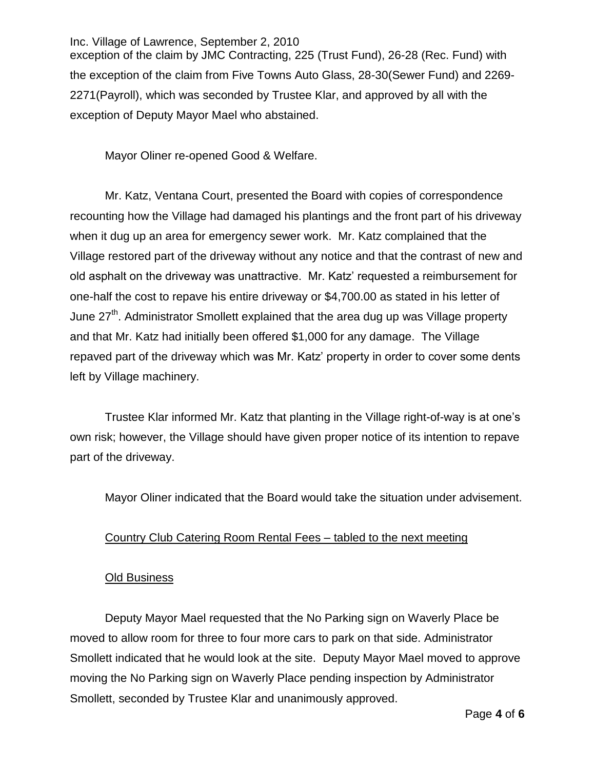Inc. Village of Lawrence, September 2, 2010 exception of the claim by JMC Contracting, 225 (Trust Fund), 26-28 (Rec. Fund) with the exception of the claim from Five Towns Auto Glass, 28-30(Sewer Fund) and 2269- 2271(Payroll), which was seconded by Trustee Klar, and approved by all with the exception of Deputy Mayor Mael who abstained.

Mayor Oliner re-opened Good & Welfare.

Mr. Katz, Ventana Court, presented the Board with copies of correspondence recounting how the Village had damaged his plantings and the front part of his driveway when it dug up an area for emergency sewer work. Mr. Katz complained that the Village restored part of the driveway without any notice and that the contrast of new and old asphalt on the driveway was unattractive. Mr. Katz' requested a reimbursement for one-half the cost to repave his entire driveway or \$4,700.00 as stated in his letter of June 27<sup>th</sup>. Administrator Smollett explained that the area dug up was Village property and that Mr. Katz had initially been offered \$1,000 for any damage. The Village repaved part of the driveway which was Mr. Katz' property in order to cover some dents left by Village machinery.

Trustee Klar informed Mr. Katz that planting in the Village right-of-way is at one's own risk; however, the Village should have given proper notice of its intention to repave part of the driveway.

Mayor Oliner indicated that the Board would take the situation under advisement.

### Country Club Catering Room Rental Fees – tabled to the next meeting

### Old Business

Deputy Mayor Mael requested that the No Parking sign on Waverly Place be moved to allow room for three to four more cars to park on that side. Administrator Smollett indicated that he would look at the site. Deputy Mayor Mael moved to approve moving the No Parking sign on Waverly Place pending inspection by Administrator Smollett, seconded by Trustee Klar and unanimously approved.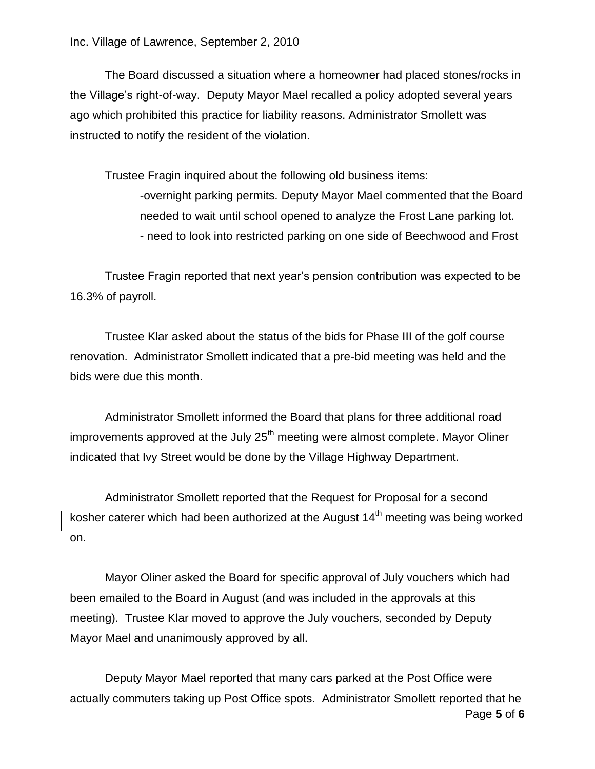The Board discussed a situation where a homeowner had placed stones/rocks in the Village's right-of-way. Deputy Mayor Mael recalled a policy adopted several years ago which prohibited this practice for liability reasons. Administrator Smollett was instructed to notify the resident of the violation.

Trustee Fragin inquired about the following old business items: -overnight parking permits. Deputy Mayor Mael commented that the Board needed to wait until school opened to analyze the Frost Lane parking lot. - need to look into restricted parking on one side of Beechwood and Frost

Trustee Fragin reported that next year's pension contribution was expected to be 16.3% of payroll.

Trustee Klar asked about the status of the bids for Phase III of the golf course renovation. Administrator Smollett indicated that a pre-bid meeting was held and the bids were due this month.

Administrator Smollett informed the Board that plans for three additional road improvements approved at the July  $25<sup>th</sup>$  meeting were almost complete. Mayor Oliner indicated that Ivy Street would be done by the Village Highway Department.

Administrator Smollett reported that the Request for Proposal for a second kosher caterer which had been authorized at the August  $14<sup>th</sup>$  meeting was being worked on.

Mayor Oliner asked the Board for specific approval of July vouchers which had been emailed to the Board in August (and was included in the approvals at this meeting). Trustee Klar moved to approve the July vouchers, seconded by Deputy Mayor Mael and unanimously approved by all.

Page **5** of **6** Deputy Mayor Mael reported that many cars parked at the Post Office were actually commuters taking up Post Office spots. Administrator Smollett reported that he